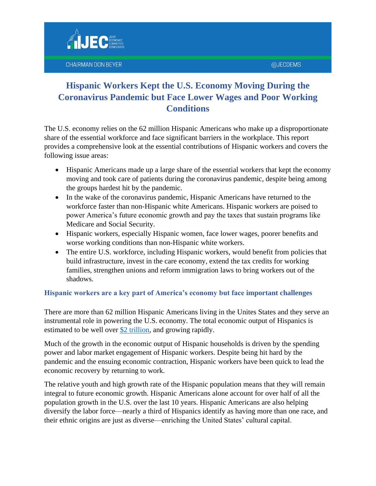

The U.S. economy relies on the 62 million Hispanic Americans who make up a disproportionate share of the essential workforce and face significant barriers in the workplace. This report provides a comprehensive look at the essential contributions of Hispanic workers and covers the following issue areas:

- Hispanic Americans made up a large share of the essential workers that kept the economy moving and took care of patients during the coronavirus pandemic, despite being among the groups hardest hit by the pandemic.
- In the wake of the coronavirus pandemic, Hispanic Americans have returned to the workforce faster than non-Hispanic white Americans. Hispanic workers are poised to power America's future economic growth and pay the taxes that sustain programs like Medicare and Social Security.
- Hispanic workers, especially Hispanic women, face lower wages, poorer benefits and worse working conditions than non-Hispanic white workers.
- The entire U.S. workforce, including Hispanic workers, would benefit from policies that build infrastructure, invest in the care economy, extend the tax credits for working families, strengthen unions and reform immigration laws to bring workers out of the shadows.

#### **Hispanic workers are a key part of America's economy but face important challenges**

There are more than 62 million Hispanic Americans living in the Unites States and they serve an instrumental role in powering the U.S. economy. The total economic output of Hispanics is estimated to be well over [\\$2 trillion,](https://diversity.ucdavis.edu/sites/g/files/dgvnsk731/files/inline-files/2020_LDCLatinoGDP_final.pdf) and growing rapidly.

Much of the growth in the economic output of Hispanic households is driven by the spending power and labor market engagement of Hispanic workers. Despite being hit hard by the pandemic and the ensuing economic contraction, Hispanic workers have been quick to lead the economic recovery by returning to work.

The relative youth and high growth rate of the Hispanic population means that they will remain integral to future economic growth. Hispanic Americans alone account for over half of all the population growth in the U.S. over the last 10 years. Hispanic Americans are also helping diversify the labor force—nearly a third of Hispanics identify as having more than one race, and their ethnic origins are just as diverse—enriching the United States' cultural capital.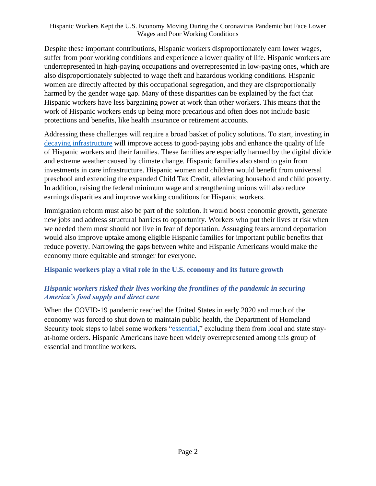Despite these important contributions, Hispanic workers disproportionately earn lower wages, suffer from poor working conditions and experience a lower quality of life. Hispanic workers are underrepresented in high-paying occupations and overrepresented in low-paying ones, which are also disproportionately subjected to wage theft and hazardous working conditions. Hispanic women are directly affected by this occupational segregation, and they are disproportionally harmed by the gender wage gap. Many of these disparities can be explained by the fact that Hispanic workers have less bargaining power at work than other workers. This means that the work of Hispanic workers ends up being more precarious and often does not include basic protections and benefits, like health insurance or retirement accounts.

Addressing these challenges will require a broad basket of policy solutions. To start, investing in [decaying infrastructure](https://infrastructurereportcard.org/infrastructure-categories/) will improve access to good-paying jobs and enhance the quality of life of Hispanic workers and their families. These families are especially harmed by the digital divide and extreme weather caused by climate change. Hispanic families also stand to gain from investments in care infrastructure. Hispanic women and children would benefit from universal preschool and extending the expanded Child Tax Credit, alleviating household and child poverty. In addition, raising the federal minimum wage and strengthening unions will also reduce earnings disparities and improve working conditions for Hispanic workers.

Immigration reform must also be part of the solution. It would boost economic growth, generate new jobs and address structural barriers to opportunity. Workers who put their lives at risk when we needed them most should not live in fear of deportation. Assuaging fears around deportation would also improve uptake among eligible Hispanic families for important public benefits that reduce poverty. Narrowing the gaps between white and Hispanic Americans would make the economy more equitable and stronger for everyone.

#### **Hispanic workers play a vital role in the U.S. economy and its future growth**

#### *Hispanic workers risked their lives working the frontlines of the pandemic in securing America's food supply and direct care*

When the COVID-19 pandemic reached the United States in early 2020 and much of the economy was forced to shut down to maintain public health, the Department of Homeland Security took steps to label some workers ["essential,](https://www.cisa.gov/publication/guidance-essential-critical-infrastructure-workforce)" excluding them from local and state stayat-home orders. Hispanic Americans have been widely overrepresented among this group of essential and frontline workers.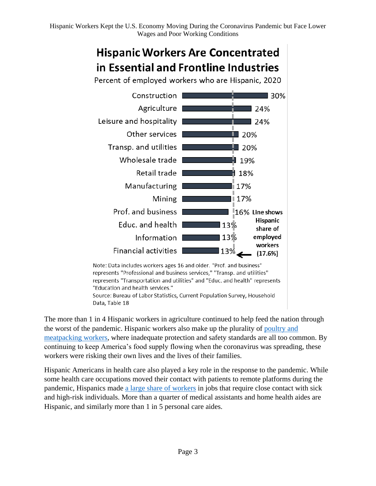# **Hispanic Workers Are Concentrated** in Essential and Frontline Industries

Percent of employed workers who are Hispanic, 2020



Note: Data includes workers ages 16 and older. "Prof. and business" represents "Professional and business services," "Transp. and utilities" represents "Transportation and utilities" and "Educ. and health" represents "Education and health services." Source: Bureau of Labor Statistics, Current Population Survey, Household Data, Table 18

The more than 1 in 4 Hispanic workers in agriculture continued to help feed the nation through the worst of the pandemic. Hispanic workers also make up the plurality of [poultry and](https://www.epi.org/blog/meat-and-poultry-worker-demographics/)  [meatpacking workers,](https://www.epi.org/blog/meat-and-poultry-worker-demographics/) where inadequate protection and safety standards are all too common. By continuing to keep America's food supply flowing when the coronavirus was spreading, these workers were risking their own lives and the lives of their families.

Hispanic Americans in health care also played a key role in the response to the pandemic. While some health care occupations moved their contact with patients to remote platforms during the pandemic, Hispanics made [a large share of workers](https://www.bls.gov/cps/cpsaat11.htm) in jobs that require close contact with sick and high-risk individuals. More than a quarter of medical assistants and home health aides are Hispanic, and similarly more than 1 in 5 personal care aides.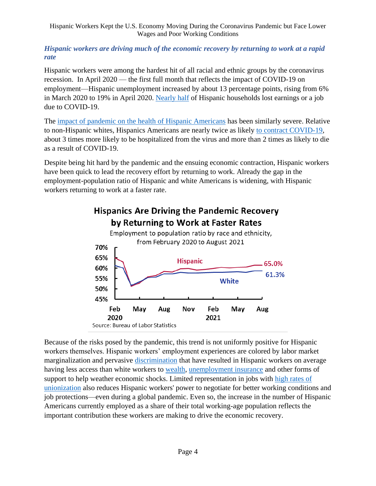#### *Hispanic workers are driving much of the economic recovery by returning to work at a rapid rate*

Hispanic workers were among the hardest hit of all racial and ethnic groups by the coronavirus recession. In April 2020 — the first full month that reflects the impact of COVID-19 on employment—Hispanic unemployment increased by about 13 percentage points, rising from 6% in March 2020 to 19% in April 2020. [Nearly half](https://www.pewresearch.org/fact-tank/2020/04/03/u-s-latinos-among-hardest-hit-by-pay-cuts-job-losses-due-to-coronavirus/) of Hispanic households lost earnings or a job due to COVID-19.

The [impact of pandemic on the health of Hispanic Americans](https://www.americanprogress.org/issues/economy/reports/2021/03/05/496733/latinos-face-disproportionate-health-economic-impacts-covid-19/) has been similarly severe. Relative to non-Hispanic whites, Hispanics Americans are nearly twice as likely [to contract COVID-19,](https://www.cdc.gov/coronavirus/2019-ncov/covid-data/investigations-discovery/hospitalization-death-by-race-ethnicity.html) about 3 times more likely to be hospitalized from the virus and more than 2 times as likely to die as a result of COVID-19.

Despite being hit hard by the pandemic and the ensuing economic contraction, Hispanic workers have been quick to lead the recovery effort by returning to work. Already the gap in the employment-population ratio of Hispanic and white Americans is widening, with Hispanic workers returning to work at a faster rate.



# **Hispanics Are Driving the Pandemic Recovery** by Returning to Work at Faster Rates

Because of the risks posed by the pandemic, this trend is not uniformly positive for Hispanic workers themselves. Hispanic workers' employment experiences are colored by labor market marginalization and pervasive [discrimination](https://www.epi.org/publication/the-hispanic-white-wage-gap-has-remained-wide-and-relatively-steady-examining-hispanic-white-gaps-in-wages-unemployment-labor-force-participation-and-education-by-gender-immigrant/) that have resulted in Hispanic workers on average having less access than white workers to [wealth,](https://www.federalreserve.gov/econres/notes/feds-notes/disparities-in-wealth-by-race-and-ethnicity-in-the-2019-survey-of-consumer-finances-20200928.htm) [unemployment insurance](https://www.propublica.org/article/black-workers-are-more-likely-to-be-unemployed-but-less-likely-to-get-unemployment-benefits) and other forms of support to help weather economic shocks. Limited representation in jobs with [high rates of](https://cepr.net/images/stories/reports/hispanic-workers-2016-11.pdf)  [unionization](https://cepr.net/images/stories/reports/hispanic-workers-2016-11.pdf) also reduces Hispanic workers' power to negotiate for better working conditions and job protections—even during a global pandemic. Even so, the increase in the number of Hispanic Americans currently employed as a share of their total working-age population reflects the important contribution these workers are making to drive the economic recovery.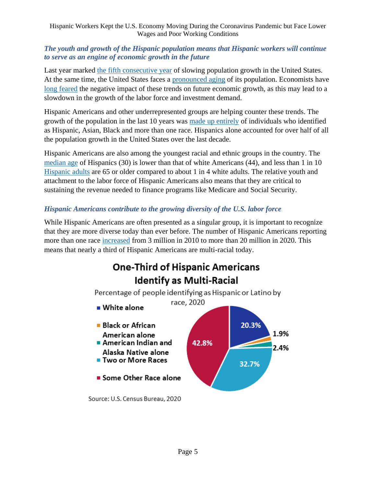#### *The youth and growth of the Hispanic population means that Hispanic workers will continue to serve as an engine of economic growth in the future*

Last year marked [the fifth consecutive year](https://www.stlouisfed.org/on-the-economy/2021/january/us-population-growth-slowed-further-2020) of slowing population growth in the United States. At the same time, the United States faces a [pronounced aging](https://www.brookings.edu/research/what-the-2020-census-will-reveal-about-america-stagnating-growth-an-aging-population-and-youthful-diversity/) of its population. Economists have [long feared](https://www.stlouisfed.org/on-the-economy/2020/february/us-population-growth-slowing-crawl) the negative impact of these trends on future economic growth, as this may lead to a slowdown in the growth of the labor force and investment demand.

Hispanic Americans and other underrepresented groups are helping counter these trends. The growth of the population in the last 10 years was [made up entirely](https://www.nytimes.com/2021/08/12/us/us-census-population-growth-diversity.html) of individuals who identified as Hispanic, Asian, Black and more than one race. Hispanics alone accounted for over half of all the population growth in the United States over the last decade.

Hispanic Americans are also among the youngest racial and ethnic groups in the country. The [median age](https://www.nytimes.com/2021/08/12/us/us-census-population-growth-diversity.html) of Hispanics (30) is lower than that of white Americans (44), and less than 1 in 10 [Hispanic adults](https://www.jec.senate.gov/public/_cache/files/d25ebfa5-5843-4ce4-ac6d-a75c8af6425d/hhm2020-economicstateofthehispaniccommunityinamerica-final.pdf) are 65 or older compared to about 1 in 4 white adults. The relative youth and attachment to the labor force of Hispanic Americans also means that they are critical to sustaining the revenue needed to finance programs like Medicare and Social Security.

#### *Hispanic Americans contribute to the growing diversity of the U.S. labor force*

While Hispanic Americans are often presented as a singular group, it is important to recognize that they are more diverse today than ever before. The number of Hispanic Americans reporting more than one race [increased](https://www.census.gov/library/stories/2021/08/improved-race-ethnicity-measures-reveal-united-states-population-much-more-multiracial.html) from 3 million in 2010 to more than 20 million in 2020. This means that nearly a third of Hispanic Americans are multi-racial today.

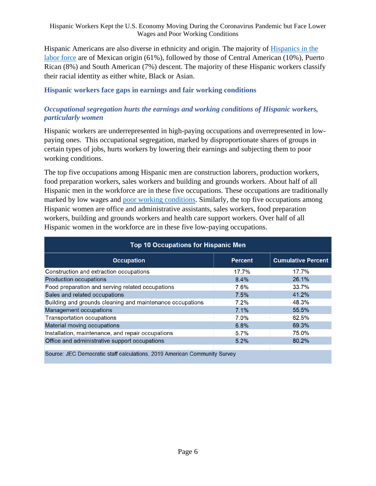Hispanic Americans are also diverse in ethnicity and origin. The majority of [Hispanics in the](https://www.bls.gov/opub/reports/race-and-ethnicity/2019/home.htm)  [labor force](https://www.bls.gov/opub/reports/race-and-ethnicity/2019/home.htm) are of Mexican origin (61%), followed by those of Central American (10%), Puerto Rican (8%) and South American (7%) descent. The majority of these Hispanic workers classify their racial identity as either white, Black or Asian.

#### **Hispanic workers face gaps in earnings and fair working conditions**

#### *Occupational segregation hurts the earnings and working conditions of Hispanic workers, particularly women*

Hispanic workers are underrepresented in high-paying occupations and overrepresented in lowpaying ones. This occupational segregation, marked by disproportionate shares of groups in certain types of jobs, hurts workers by lowering their earnings and subjecting them to poor working conditions.

The top five occupations among Hispanic men are construction laborers, production workers, food preparation workers, sales workers and building and grounds workers. About half of all Hispanic men in the workforce are in these five occupations. These occupations are traditionally marked by low wages and [poor working conditions.](https://www.bls.gov/news.release/pdf/cfoi.pdf) Similarly, the top five occupations among Hispanic women are office and administrative assistants, sales workers, food preparation workers, building and grounds workers and health care support workers. Over half of all Hispanic women in the workforce are in these five low-paying occupations.

| <b>Top 10 Occupations for Hispanic Men</b>                                |                |                           |  |
|---------------------------------------------------------------------------|----------------|---------------------------|--|
| <b>Occupation</b>                                                         | <b>Percent</b> | <b>Cumulative Percent</b> |  |
| Construction and extraction occupations                                   | 17.7%          | 17.7%                     |  |
| <b>Production occupations</b>                                             | 8.4%           | 26.1%                     |  |
| Food preparation and serving related occupations                          | 7.6%           | 33.7%                     |  |
| Sales and related occupations                                             | 7.5%           | 41.2%                     |  |
| Building and grounds cleaning and maintenance occupations                 | 7.2%           | 48.3%                     |  |
| Management occupations                                                    | 7.1%           | 55.5%                     |  |
| <b>Transportation occupations</b>                                         | 7.0%           | 62.5%                     |  |
| Material moving occupations                                               | 6.8%           | 69.3%                     |  |
| Installation, maintenance, and repair occupations                         | 5.7%           | 75.0%                     |  |
| Office and administrative support occupations                             | 5.2%           | 80.2%                     |  |
| Source: JEC Democratic staff calculations, 2019 American Community Survey |                |                           |  |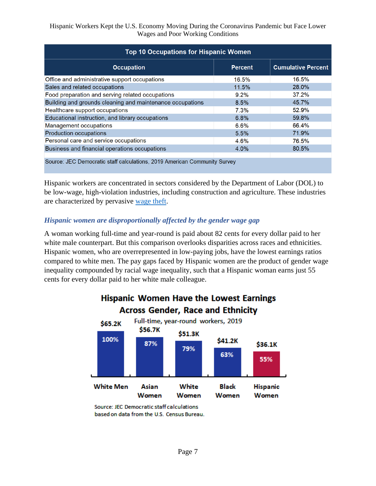| <b>Top 10 Occupations for Hispanic Women</b>                              |                |                           |  |
|---------------------------------------------------------------------------|----------------|---------------------------|--|
| <b>Occupation</b>                                                         | <b>Percent</b> | <b>Cumulative Percent</b> |  |
| Office and administrative support occupations                             | 16.5%          | 16.5%                     |  |
| Sales and related occupations                                             | 11.5%          | 28.0%                     |  |
| Food preparation and serving related occupations                          | $9.2\%$        | 37.2%                     |  |
| Building and grounds cleaning and maintenance occupations                 | 8.5%           | 45.7%                     |  |
| Healthcare support occupations                                            | 7.3%           | 52.9%                     |  |
| Educational instruction, and library occupations                          | 6.8%           | 59.8%                     |  |
| Management occupations                                                    | 6.6%           | 66.4%                     |  |
| <b>Production occupations</b>                                             | 5.5%           | 71.9%                     |  |
| Personal care and service occupations                                     | 4.6%           | 76.5%                     |  |
| Business and financial operations occupations                             | 4.0%           | 80.5%                     |  |
| Source: JEC Democratic staff calculations, 2019 American Community Survey |                |                           |  |

Hispanic workers are concentrated in sectors considered by the Department of Labor (DOL) to be low-wage, high-violation industries, including construction and agriculture. These industries are characterized by pervasive [wage theft.](https://www.dol.gov/agencies/whd/data/charts/low-wage-high-violation-industries)

#### *Hispanic women are disproportionally affected by the gender wage gap*

A woman working full-time and year-round is paid about 82 cents for every dollar paid to her white male counterpart. But this comparison overlooks disparities across races and ethnicities. Hispanic women, who are overrepresented in low-paying jobs, have the lowest earnings ratios compared to white men. The pay gaps faced by Hispanic women are the product of gender wage inequality compounded by racial wage inequality, such that a Hispanic woman earns just 55 cents for every dollar paid to her white male colleague.



### **Hispanic Women Have the Lowest Earnings Across Gender, Race and Ethnicity**

Source: JEC Democratic staff calculations based on data from the U.S. Census Bureau.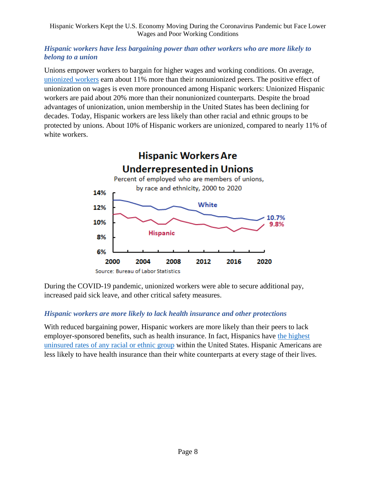#### *Hispanic workers have less bargaining power than other workers who are more likely to belong to a union*

Unions empower workers to bargain for higher wages and working conditions. On average, [unionized workers](https://www.epi.org/publication/why-unions-are-good-for-workers-especially-in-a-crisis-like-covid-19-12-policies-that-would-boost-worker-rights-safety-and-wages/) earn about 11% more than their nonunionized peers. The positive effect of unionization on wages is even more pronounced among Hispanic workers: Unionized Hispanic workers are paid about 20% more than their nonunionized counterparts. Despite the broad advantages of unionization, union membership in the United States has been declining for decades. Today, Hispanic workers are less likely than other racial and ethnic groups to be protected by unions. About 10% of Hispanic workers are unionized, compared to nearly 11% of white workers.



During the COVID-19 pandemic, unionized workers were able to secure additional pay, increased paid sick leave, and other critical safety measures.

#### *Hispanic workers are more likely to lack health insurance and other protections*

With reduced bargaining power, Hispanic workers are more likely than their peers to lack employer-sponsored benefits, such as health insurance. In fact, Hispanics have [the highest](https://minorityhealth.hhs.gov/omh/browse.aspx?lvl=3&lvlid=64)  [uninsured rates of any racial or ethnic group](https://minorityhealth.hhs.gov/omh/browse.aspx?lvl=3&lvlid=64) within the United States. Hispanic Americans are less likely to have health insurance than their white counterparts at every stage of their lives.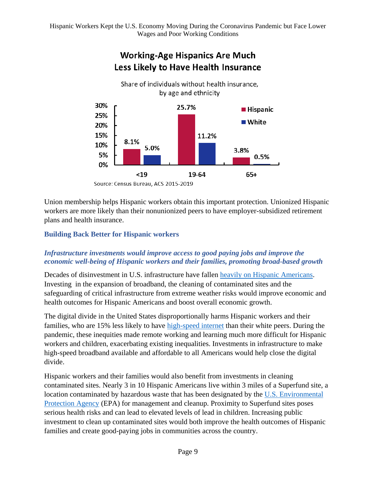

# **Working-Age Hispanics Are Much**

Union membership helps Hispanic workers obtain this important protection. Unionized Hispanic workers are more likely than their nonunionized peers to have employer-subsidized retirement plans and health insurance.

#### **Building Back Better for Hispanic workers**

#### *Infrastructure investments would improve access to good paying jobs and improve the economic well-being of Hispanic workers and their families, promoting broad-based growth*

Decades of disinvestment in U.S. infrastructure have fallen [heavily on Hispanic Americans.](https://www.whitehouse.gov/briefing-room/statements-releases/2021/06/29/fact-sheet-bipartisan-infrastructure-framework-will-address-barriers-communities-of-color-face-to-economic-opportunity/) Investing in the expansion of broadband, the cleaning of contaminated sites and the safeguarding of critical infrastructure from extreme weather risks would improve economic and health outcomes for Hispanic Americans and boost overall economic growth.

The digital divide in the United States disproportionally harms Hispanic workers and their families, who are 15% less likely to have [high-speed internet](https://www.whitehouse.gov/briefing-room/statements-releases/2021/06/29/fact-sheet-bipartisan-infrastructure-framework-will-address-barriers-communities-of-color-face-to-economic-opportunity/) than their white peers. During the pandemic, these inequities made remote working and learning much more difficult for Hispanic workers and children, exacerbating existing inequalities. Investments in infrastructure to make high-speed broadband available and affordable to all Americans would help close the digital divide.

Hispanic workers and their families would also benefit from investments in cleaning contaminated sites. Nearly 3 in 10 Hispanic Americans live within 3 miles of a Superfund site, a location contaminated by hazardous waste that has been designated by the [U.S. Environmental](https://www.epa.gov/superfund/what-superfund)  [Protection Agency](https://www.epa.gov/superfund/what-superfund) (EPA) for management and cleanup. Proximity to Superfund sites poses serious health risks and can lead to elevated levels of lead in children. Increasing public investment to clean up contaminated sites would both improve the health outcomes of Hispanic families and create good-paying jobs in communities across the country.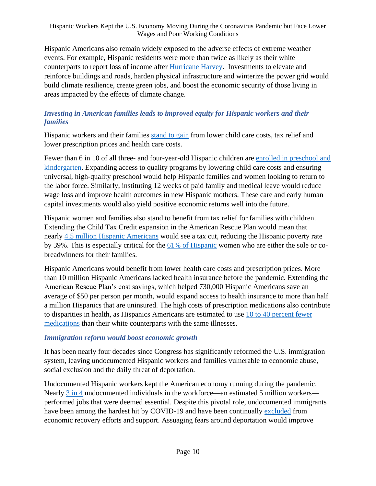Hispanic Americans also remain widely exposed to the adverse effects of extreme weather events. For example, Hispanic residents were more than twice as likely as their white counterparts to report loss of income after [Hurricane Harvey.](https://www.kff.org/other/press-release/survey-three-months-after-hurricane-harvey-nearly-half-of-affected-texas-residents-say-they-are-not-getting-the-help-they-need-to-recover/) Investments to elevate and reinforce buildings and roads, harden physical infrastructure and winterize the power grid would build climate resilience, create green jobs, and boost the economic security of those living in areas impacted by the effects of climate change.

#### *Investing in American families leads to improved equity for Hispanic workers and their families*

Hispanic workers and their families [stand to gain](https://www.whitehouse.gov/briefing-room/statements-releases/2021/08/13/fact-sheet-how-president-bidens-build-back-better-agenda-helps-latino-communities/) from lower child care costs, tax relief and lower prescription prices and health care costs.

Fewer than 6 in 10 of all three- and four-year-old Hispanic children are [enrolled in preschool and](https://usafacts.org/articles/how-many-children-attend-preschool-us/)  [kindergarten.](https://usafacts.org/articles/how-many-children-attend-preschool-us/) Expanding access to quality programs by lowering child care costs and ensuring universal, high-quality preschool would help Hispanic families and women looking to return to the labor force. Similarly, instituting 12 weeks of paid family and medical leave would reduce wage loss and improve health outcomes in new Hispanic mothers. These care and early human capital investments would also yield positive economic returns well into the future.

Hispanic women and families also stand to benefit from tax relief for families with children. Extending the Child Tax Credit expansion in the American Rescue Plan would mean that nearly [4.5 million Hispanic Americans](https://static1.squarespace.com/static/5743308460b5e922a25a6dc7/t/601acf15866c634924d12963/1612369686861/Poverty-Reduction-Analysis-Biden-Economic-Relief-CPSP-2021.pdf) would see a tax cut, reducing the Hispanic poverty rate by 39%. This is especially critical for the [61% of Hispanic](https://www.americanprogress.org/issues/women/news/2021/03/29/497658/breadwinning-mothers-critical-familys-economic-security/) women who are either the sole or cobreadwinners for their families.

Hispanic Americans would benefit from lower health care costs and prescription prices. More than 10 million Hispanic Americans lacked health insurance before the pandemic. Extending the American Rescue Plan's cost savings, which helped [730,000 H](https://www.whitehouse.gov/briefing-room/statements-releases/2021/08/13/fact-sheet-how-president-bidens-build-back-better-agenda-helps-latino-communities/)ispanic Americans save an average of \$50 per person per month, would expand access to health insurance to more than half a million Hispanics that are uninsured. The high costs of prescription medications also contribute to disparities in health, as Hispanics Americans are estimated to use [10 to 40 percent fewer](https://www.nashp.org/states-curb-racial-inequities-in-rx-drug-affordability-with-targeted-legislation/)  [medications](https://www.nashp.org/states-curb-racial-inequities-in-rx-drug-affordability-with-targeted-legislation/) than their white counterparts with the same illnesses.

#### *Immigration reform would boost economic growth*

It has been nearly four decades since Congress has significantly reformed the U.S. immigration system, leaving undocumented Hispanic workers and families vulnerable to economic abuse, social exclusion and the daily threat of deportation.

Undocumented Hispanic workers kept the American economy running during the pandemic. Nearly [3 in 4](https://www.americanprogress.org/issues/immigration/reports/2020/12/02/493307/protecting-undocumented-workers-pandemics-front-lines/) undocumented individuals in the workforce—an estimated 5 million workers performed jobs that were deemed essential. Despite this pivotal role, undocumented immigrants have been among the hardest hit by COVID-19 and have been continually [excluded](https://protectingimmigrantfamilies.org/immigrant-eligibility-for-public-programs-during-covid-19/) from economic recovery efforts and support. Assuaging fears around deportation would improve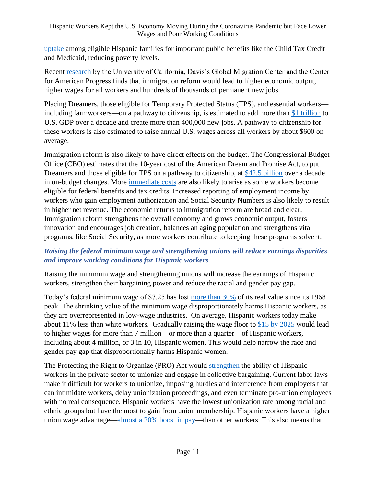[uptake](https://www.cnbc.com/2021/09/14/hispanics-less-likely-get-stimulus-checks-child-tax-credit-in-2020.html) among eligible Hispanic families for important public benefits like the Child Tax Credit and Medicaid, reducing poverty levels.

Recent [research](https://www.americanprogress.org/issues/immigration/reports/2021/06/14/500433/citizenship-undocumented-immigrants-boost-u-s-economic-growth/) by the University of California, Davis's Global Migration Center and the Center for American Progress finds that immigration reform would lead to higher economic output, higher wages for all workers and hundreds of thousands of permanent new jobs.

Placing Dreamers, those eligible for Temporary Protected Status (TPS), and essential workers including farmworkers—on a pathway to citizenship, is estimated to add more than [\\$1 trillion](https://www.americanprogress.org/issues/immigration/reports/2021/06/14/500433/citizenship-undocumented-immigrants-boost-u-s-economic-growth/) to U.S. GDP over a decade and create more than 400,000 new jobs. A pathway to citizenship for these workers is also estimated to raise annual U.S. wages across all workers by about \$600 on average.

Immigration reform is also likely to have direct effects on the budget. The Congressional Budget Office (CBO) estimates that the 10-year cost of the American Dream and Promise Act, to put Dreamers and those eligible for TPS on a pathway to citizenship, at [\\$42.5 billion](https://www.cbo.gov/system/files/2021-03/hr0006.pdf) over a decade in on-budget changes. More [immediate costs](https://www.cbo.gov/publication/57182) are also likely to arise as some workers become eligible for federal benefits and tax credits. Increased reporting of employment income by workers who gain employment authorization and Social Security Numbers is also likely to result in higher net revenue. The economic returns to immigration reform are broad and clear. Immigration reform strengthens the overall economy and grows economic output, fosters innovation and encourages job creation, balances an aging population and strengthens vital programs, like Social Security, as more workers contribute to keeping these programs solvent.

#### *Raising the federal minimum wage and strengthening unions will reduce earnings disparities and improve working conditions for Hispanic workers*

Raising the minimum wage and strengthening unions will increase the earnings of Hispanic workers, strengthen their bargaining power and reduce the racial and gender pay gap.

Today's federal minimum wage of \$7.25 has lost [more than 30%](https://www.jec.senate.gov/public/_cache/files/2bb65b7d-ec49-460b-b1cc-e64142181f2a/the-shrinking-value-of-the-federal-minimum-wage-final.pdf) of its real value since its 1968 peak. The shrinking value of the minimum wage disproportionately harms Hispanic workers, as they are overrepresented in low-wage industries. On average, Hispanic workers today make about 11% less than white workers. Gradually raising the wage floor to [\\$15 by 2025](https://www.epi.org/publication/raising-the-federal-minimum-wage-to-15-by-2025-would-lift-the-pay-of-32-million-workers/) would lead to higher wages for more than 7 million—or more than a quarter—of Hispanic workers, including about 4 million, or 3 in 10, Hispanic women. This would help narrow the race and gender pay gap that disproportionally harms Hispanic women.

The Protecting the Right to Organize (PRO) Act would [strengthen](https://latino.ucla.edu/research/more-than-solidarity/) the ability of Hispanic workers in the private sector to unionize and engage in collective bargaining. Current labor laws make it difficult for workers to unionize, imposing hurdles and interference from employers that can intimidate workers, delay unionization proceedings, and even terminate pro-union employees with no real consequence. Hispanic workers have the lowest unionization rate among racial and ethnic groups but have the most to gain from union membership. Hispanic workers have a higher union wage advantage[—almost a 20% boost in pay—](https://www.epi.org/publication/unions-help-reduce-disparities-and-strengthen-our-democracy/)than other workers. This also means that